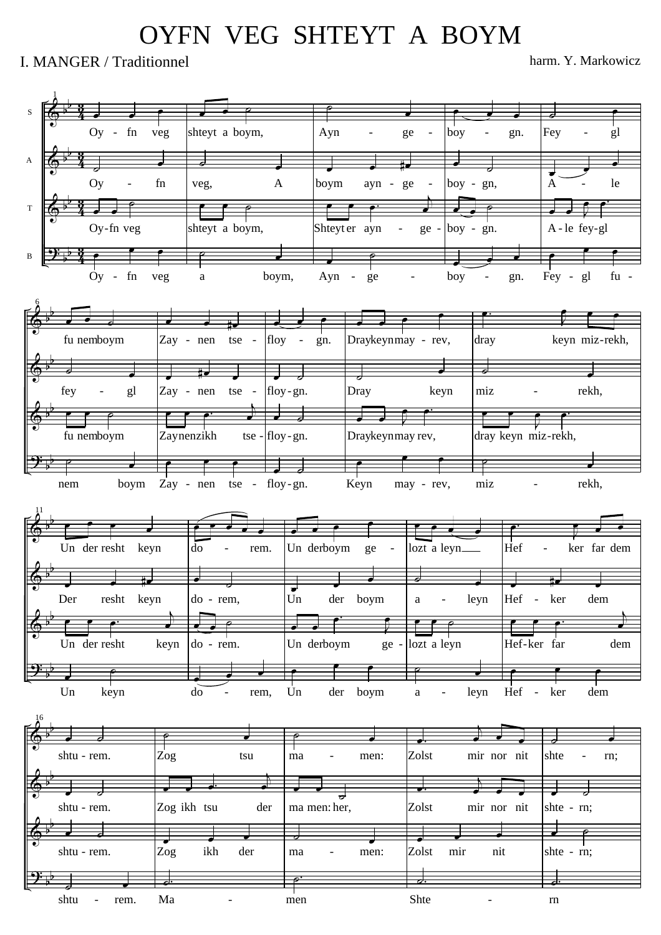## OYFN VEG SHTEYT A BOYM

## I. MANGER / Traditionnel harm. Y. Markowicz